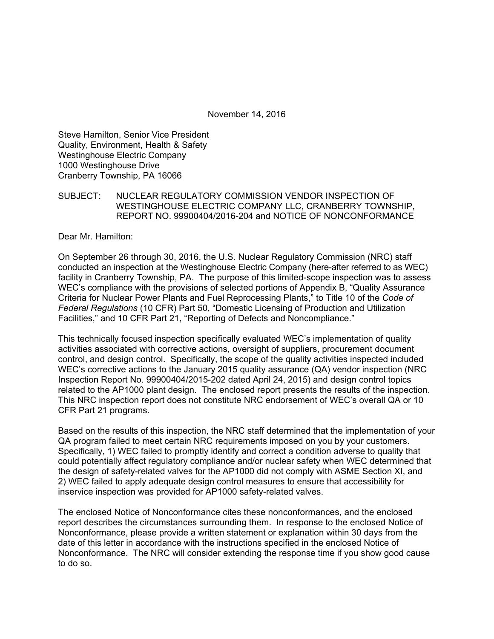November 14, 2016

Steve Hamilton, Senior Vice President Quality, Environment, Health & Safety Westinghouse Electric Company 1000 Westinghouse Drive Cranberry Township, PA 16066

### SUBJECT: NUCLEAR REGULATORY COMMISSION VENDOR INSPECTION OF WESTINGHOUSE ELECTRIC COMPANY LLC, CRANBERRY TOWNSHIP, REPORT NO. 99900404/2016-204 and NOTICE OF NONCONFORMANCE

Dear Mr. Hamilton:

On September 26 through 30, 2016, the U.S. Nuclear Regulatory Commission (NRC) staff conducted an inspection at the Westinghouse Electric Company (here-after referred to as WEC) facility in Cranberry Township, PA. The purpose of this limited-scope inspection was to assess WEC's compliance with the provisions of selected portions of Appendix B, "Quality Assurance Criteria for Nuclear Power Plants and Fuel Reprocessing Plants," to Title 10 of the *Code of Federal Regulations* (10 CFR) Part 50, "Domestic Licensing of Production and Utilization Facilities," and 10 CFR Part 21, "Reporting of Defects and Noncompliance."

This technically focused inspection specifically evaluated WEC's implementation of quality activities associated with corrective actions, oversight of suppliers, procurement document control, and design control. Specifically, the scope of the quality activities inspected included WEC's corrective actions to the January 2015 quality assurance (QA) vendor inspection (NRC Inspection Report No. 99900404/2015-202 dated April 24, 2015) and design control topics related to the AP1000 plant design. The enclosed report presents the results of the inspection. This NRC inspection report does not constitute NRC endorsement of WEC's overall QA or 10 CFR Part 21 programs.

Based on the results of this inspection, the NRC staff determined that the implementation of your QA program failed to meet certain NRC requirements imposed on you by your customers. Specifically, 1) WEC failed to promptly identify and correct a condition adverse to quality that could potentially affect regulatory compliance and/or nuclear safety when WEC determined that the design of safety-related valves for the AP1000 did not comply with ASME Section XI, and 2) WEC failed to apply adequate design control measures to ensure that accessibility for inservice inspection was provided for AP1000 safety-related valves.

The enclosed Notice of Nonconformance cites these nonconformances, and the enclosed report describes the circumstances surrounding them. In response to the enclosed Notice of Nonconformance, please provide a written statement or explanation within 30 days from the date of this letter in accordance with the instructions specified in the enclosed Notice of Nonconformance. The NRC will consider extending the response time if you show good cause to do so.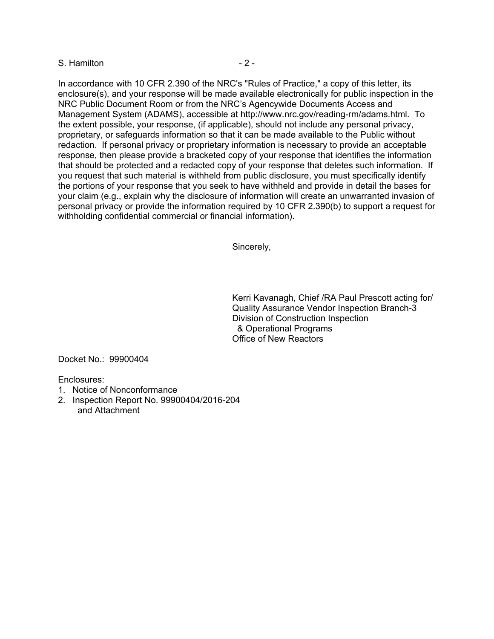#### S. Hamilton **- 2 -**

In accordance with 10 CFR 2.390 of the NRC's "Rules of Practice," a copy of this letter, its enclosure(s), and your response will be made available electronically for public inspection in the NRC Public Document Room or from the NRC's Agencywide Documents Access and Management System (ADAMS), accessible at http://www.nrc.gov/reading-rm/adams.html. To the extent possible, your response, (if applicable), should not include any personal privacy, proprietary, or safeguards information so that it can be made available to the Public without redaction. If personal privacy or proprietary information is necessary to provide an acceptable response, then please provide a bracketed copy of your response that identifies the information that should be protected and a redacted copy of your response that deletes such information. If you request that such material is withheld from public disclosure, you must specifically identify the portions of your response that you seek to have withheld and provide in detail the bases for your claim (e.g., explain why the disclosure of information will create an unwarranted invasion of personal privacy or provide the information required by 10 CFR 2.390(b) to support a request for withholding confidential commercial or financial information).

Sincerely,

Kerri Kavanagh, Chief /RA Paul Prescott acting for/ Quality Assurance Vendor Inspection Branch-3 Division of Construction Inspection & Operational Programs Office of New Reactors

Docket No.: 99900404

Enclosures:

- 1. Notice of Nonconformance
- 2. Inspection Report No. 99900404/2016-204 and Attachment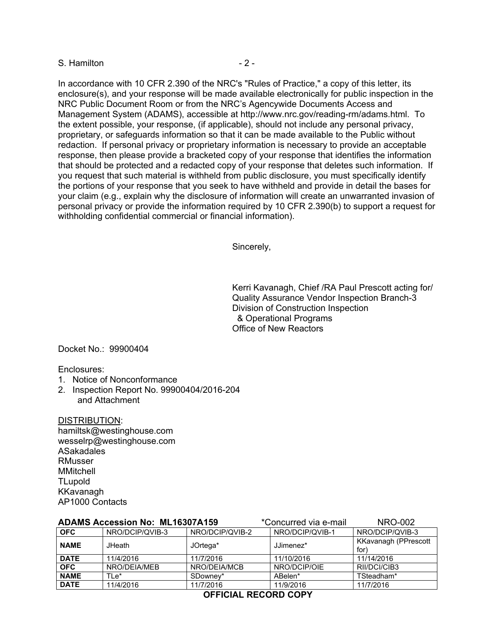#### S. Hamilton **- 2 -**

In accordance with 10 CFR 2.390 of the NRC's "Rules of Practice," a copy of this letter, its enclosure(s), and your response will be made available electronically for public inspection in the NRC Public Document Room or from the NRC's Agencywide Documents Access and Management System (ADAMS), accessible at http://www.nrc.gov/reading-rm/adams.html. To the extent possible, your response, (if applicable), should not include any personal privacy, proprietary, or safeguards information so that it can be made available to the Public without redaction. If personal privacy or proprietary information is necessary to provide an acceptable response, then please provide a bracketed copy of your response that identifies the information that should be protected and a redacted copy of your response that deletes such information. If you request that such material is withheld from public disclosure, you must specifically identify the portions of your response that you seek to have withheld and provide in detail the bases for your claim (e.g., explain why the disclosure of information will create an unwarranted invasion of personal privacy or provide the information required by 10 CFR 2.390(b) to support a request for withholding confidential commercial or financial information).

Sincerely,

Kerri Kavanagh, Chief /RA Paul Prescott acting for/ Quality Assurance Vendor Inspection Branch-3 Division of Construction Inspection & Operational Programs Office of New Reactors

Docket No.: 99900404

Enclosures:

- 1. Notice of Nonconformance
- 2. Inspection Report No. 99900404/2016-204 and Attachment

DISTRIBUTION: hamiltsk@westinghouse.com wesselrp@westinghouse.com ASakadales RMusser MMitchell **TLupold** KKavanagh AP1000 Contacts

|             | <b>ADAMS Accession No: ML16307A159</b> |                 | *Concurred via e-mail | <b>NRO-002</b>                      |  |
|-------------|----------------------------------------|-----------------|-----------------------|-------------------------------------|--|
| <b>OFC</b>  | NRO/DCIP/QVIB-3                        | NRO/DCIP/QVIB-2 | NRO/DCIP/QVIB-1       | NRO/DCIP/QVIB-3                     |  |
| <b>NAME</b> | <b>JHeath</b>                          | JOrtega*        | JJimenez*             | <b>KKavanagh (PPrescott</b><br>for) |  |
| <b>DATE</b> | 11/4/2016                              | 11/7/2016       | 11/10/2016            | 11/14/2016                          |  |
| <b>OFC</b>  | NRO/DEIA/MEB                           | NRO/DEIA/MCB    | NRO/DCIP/OIE          | RII/DCI/CIB3                        |  |
| <b>NAME</b> | TLe*                                   | SDowney*        | ABelen*               | TSteadham*                          |  |
| <b>DATE</b> | 11/4/2016                              | 11/7/2016       | 11/9/2016             | 11/7/2016                           |  |

## **OFFICIAL RECORD COPY**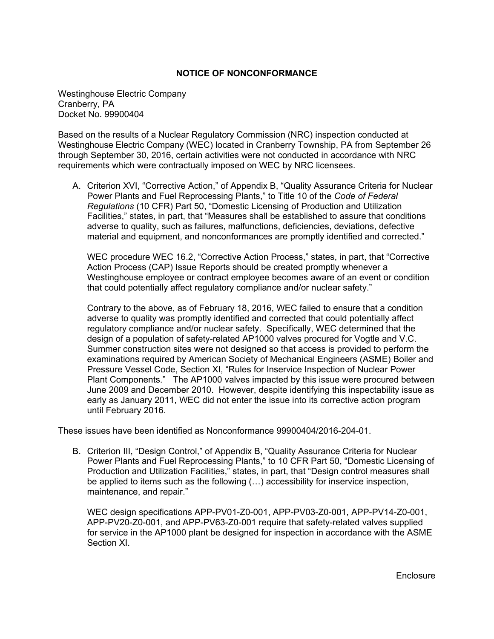#### **NOTICE OF NONCONFORMANCE**

Westinghouse Electric Company Cranberry, PA Docket No. 99900404

Based on the results of a Nuclear Regulatory Commission (NRC) inspection conducted at Westinghouse Electric Company (WEC) located in Cranberry Township, PA from September 26 through September 30, 2016, certain activities were not conducted in accordance with NRC requirements which were contractually imposed on WEC by NRC licensees.

A. Criterion XVI, "Corrective Action," of Appendix B, "Quality Assurance Criteria for Nuclear Power Plants and Fuel Reprocessing Plants," to Title 10 of the *Code of Federal Regulations* (10 CFR) Part 50, "Domestic Licensing of Production and Utilization Facilities," states, in part, that "Measures shall be established to assure that conditions adverse to quality, such as failures, malfunctions, deficiencies, deviations, defective material and equipment, and nonconformances are promptly identified and corrected."

WEC procedure WEC 16.2, "Corrective Action Process," states, in part, that "Corrective Action Process (CAP) Issue Reports should be created promptly whenever a Westinghouse employee or contract employee becomes aware of an event or condition that could potentially affect regulatory compliance and/or nuclear safety."

Contrary to the above, as of February 18, 2016, WEC failed to ensure that a condition adverse to quality was promptly identified and corrected that could potentially affect regulatory compliance and/or nuclear safety. Specifically, WEC determined that the design of a population of safety-related AP1000 valves procured for Vogtle and V.C. Summer construction sites were not designed so that access is provided to perform the examinations required by American Society of Mechanical Engineers (ASME) Boiler and Pressure Vessel Code, Section XI, "Rules for Inservice Inspection of Nuclear Power Plant Components." The AP1000 valves impacted by this issue were procured between June 2009 and December 2010. However, despite identifying this inspectability issue as early as January 2011, WEC did not enter the issue into its corrective action program until February 2016.

These issues have been identified as Nonconformance 99900404/2016-204-01.

B. Criterion III, "Design Control," of Appendix B, "Quality Assurance Criteria for Nuclear Power Plants and Fuel Reprocessing Plants," to 10 CFR Part 50, "Domestic Licensing of Production and Utilization Facilities," states, in part, that "Design control measures shall be applied to items such as the following (…) accessibility for inservice inspection, maintenance, and repair."

WEC design specifications APP-PV01-Z0-001, APP-PV03-Z0-001, APP-PV14-Z0-001, APP-PV20-Z0-001, and APP-PV63-Z0-001 require that safety-related valves supplied for service in the AP1000 plant be designed for inspection in accordance with the ASME Section XI.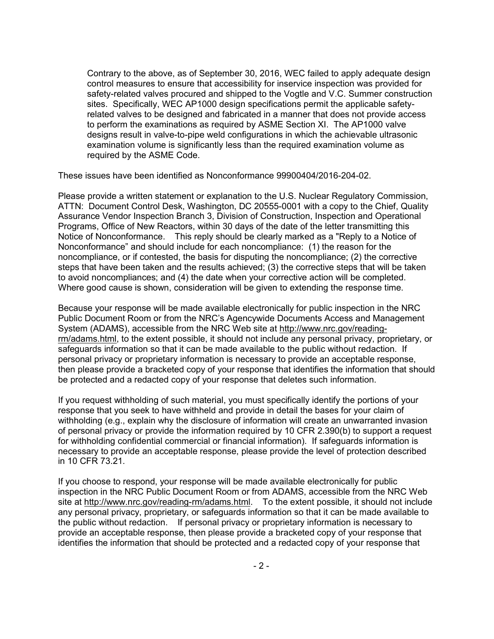Contrary to the above, as of September 30, 2016, WEC failed to apply adequate design control measures to ensure that accessibility for inservice inspection was provided for safety-related valves procured and shipped to the Vogtle and V.C. Summer construction sites. Specifically, WEC AP1000 design specifications permit the applicable safetyrelated valves to be designed and fabricated in a manner that does not provide access to perform the examinations as required by ASME Section XI. The AP1000 valve designs result in valve-to-pipe weld configurations in which the achievable ultrasonic examination volume is significantly less than the required examination volume as required by the ASME Code.

These issues have been identified as Nonconformance 99900404/2016-204-02.

Please provide a written statement or explanation to the U.S. Nuclear Regulatory Commission, ATTN: Document Control Desk, Washington, DC 20555-0001 with a copy to the Chief, Quality Assurance Vendor Inspection Branch 3, Division of Construction, Inspection and Operational Programs, Office of New Reactors, within 30 days of the date of the letter transmitting this Notice of Nonconformance. This reply should be clearly marked as a "Reply to a Notice of Nonconformance" and should include for each noncompliance: (1) the reason for the noncompliance, or if contested, the basis for disputing the noncompliance; (2) the corrective steps that have been taken and the results achieved; (3) the corrective steps that will be taken to avoid noncompliances; and (4) the date when your corrective action will be completed. Where good cause is shown, consideration will be given to extending the response time.

Because your response will be made available electronically for public inspection in the NRC Public Document Room or from the NRC's Agencywide Documents Access and Management System (ADAMS), accessible from the NRC Web site at http://www.nrc.gov/readingrm/adams.html, to the extent possible, it should not include any personal privacy, proprietary, or safeguards information so that it can be made available to the public without redaction. If personal privacy or proprietary information is necessary to provide an acceptable response, then please provide a bracketed copy of your response that identifies the information that should be protected and a redacted copy of your response that deletes such information.

If you request withholding of such material, you must specifically identify the portions of your response that you seek to have withheld and provide in detail the bases for your claim of withholding (e.g., explain why the disclosure of information will create an unwarranted invasion of personal privacy or provide the information required by 10 CFR 2.390(b) to support a request for withholding confidential commercial or financial information). If safeguards information is necessary to provide an acceptable response, please provide the level of protection described in 10 CFR 73.21.

If you choose to respond, your response will be made available electronically for public inspection in the NRC Public Document Room or from ADAMS, accessible from the NRC Web site at http://www.nrc.gov/reading-rm/adams.html. To the extent possible, it should not include any personal privacy, proprietary, or safeguards information so that it can be made available to the public without redaction. If personal privacy or proprietary information is necessary to provide an acceptable response, then please provide a bracketed copy of your response that identifies the information that should be protected and a redacted copy of your response that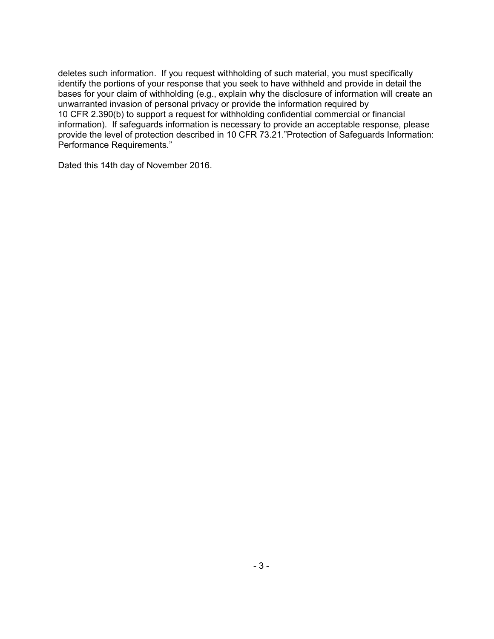deletes such information. If you request withholding of such material, you must specifically identify the portions of your response that you seek to have withheld and provide in detail the bases for your claim of withholding (e.g., explain why the disclosure of information will create an unwarranted invasion of personal privacy or provide the information required by 10 CFR 2.390(b) to support a request for withholding confidential commercial or financial information). If safeguards information is necessary to provide an acceptable response, please provide the level of protection described in 10 CFR 73.21."Protection of Safeguards Information: Performance Requirements."

Dated this 14th day of November 2016.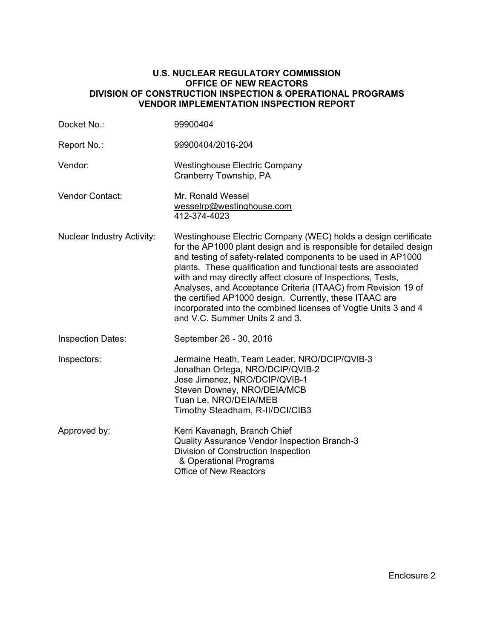#### **U.S. NUCLEAR REGULATORY COMMISSION OFFICE OF NEW REACTORS DIVISION OF CONSTRUCTION INSPECTION & OPERATIONAL PROGRAMS VENDOR IMPLEMENTATION INSPECTION REPORT**

| Docket No.:                       | 99900404                                                                                                                                                                                                                                                                                                                                                                                                                                                                                                                                                                 |
|-----------------------------------|--------------------------------------------------------------------------------------------------------------------------------------------------------------------------------------------------------------------------------------------------------------------------------------------------------------------------------------------------------------------------------------------------------------------------------------------------------------------------------------------------------------------------------------------------------------------------|
| Report No.:                       | 99900404/2016-204                                                                                                                                                                                                                                                                                                                                                                                                                                                                                                                                                        |
| Vendor:                           | <b>Westinghouse Electric Company</b><br>Cranberry Township, PA                                                                                                                                                                                                                                                                                                                                                                                                                                                                                                           |
| Vendor Contact:                   | Mr. Ronald Wessel<br>wesselrp@westinghouse.com<br>412-374-4023                                                                                                                                                                                                                                                                                                                                                                                                                                                                                                           |
| <b>Nuclear Industry Activity:</b> | Westinghouse Electric Company (WEC) holds a design certificate<br>for the AP1000 plant design and is responsible for detailed design<br>and testing of safety-related components to be used in AP1000<br>plants. These qualification and functional tests are associated<br>with and may directly affect closure of Inspections, Tests,<br>Analyses, and Acceptance Criteria (ITAAC) from Revision 19 of<br>the certified AP1000 design. Currently, these ITAAC are<br>incorporated into the combined licenses of Vogtle Units 3 and 4<br>and V.C. Summer Units 2 and 3. |
| <b>Inspection Dates:</b>          | September 26 - 30, 2016                                                                                                                                                                                                                                                                                                                                                                                                                                                                                                                                                  |
| Inspectors:                       | Jermaine Heath, Team Leader, NRO/DCIP/QVIB-3<br>Jonathan Ortega, NRO/DCIP/QVIB-2<br>Jose Jimenez, NRO/DCIP/QVIB-1<br>Steven Downey, NRO/DEIA/MCB<br>Tuan Le, NRO/DEIA/MEB<br>Timothy Steadham, R-II/DCI/CIB3                                                                                                                                                                                                                                                                                                                                                             |
| Approved by:                      | Kerri Kavanagh, Branch Chief<br>Quality Assurance Vendor Inspection Branch-3<br>Division of Construction Inspection<br>& Operational Programs<br><b>Office of New Reactors</b>                                                                                                                                                                                                                                                                                                                                                                                           |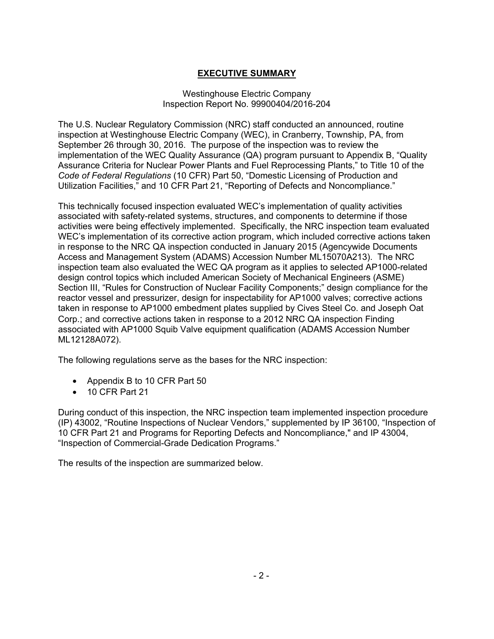# **EXECUTIVE SUMMARY**

### Westinghouse Electric Company Inspection Report No. 99900404/2016-204

The U.S. Nuclear Regulatory Commission (NRC) staff conducted an announced, routine inspection at Westinghouse Electric Company (WEC), in Cranberry, Township, PA, from September 26 through 30, 2016. The purpose of the inspection was to review the implementation of the WEC Quality Assurance (QA) program pursuant to Appendix B, "Quality Assurance Criteria for Nuclear Power Plants and Fuel Reprocessing Plants," to Title 10 of the *Code of Federal Regulations* (10 CFR) Part 50, "Domestic Licensing of Production and Utilization Facilities," and 10 CFR Part 21, "Reporting of Defects and Noncompliance."

This technically focused inspection evaluated WEC's implementation of quality activities associated with safety-related systems, structures, and components to determine if those activities were being effectively implemented. Specifically, the NRC inspection team evaluated WEC's implementation of its corrective action program, which included corrective actions taken in response to the NRC QA inspection conducted in January 2015 (Agencywide Documents Access and Management System (ADAMS) Accession Number ML15070A213). The NRC inspection team also evaluated the WEC QA program as it applies to selected AP1000-related design control topics which included American Society of Mechanical Engineers (ASME) Section III, "Rules for Construction of Nuclear Facility Components;" design compliance for the reactor vessel and pressurizer, design for inspectability for AP1000 valves; corrective actions taken in response to AP1000 embedment plates supplied by Cives Steel Co. and Joseph Oat Corp.; and corrective actions taken in response to a 2012 NRC QA inspection Finding associated with AP1000 Squib Valve equipment qualification (ADAMS Accession Number ML12128A072).

The following regulations serve as the bases for the NRC inspection:

- Appendix B to 10 CFR Part 50
- 10 CFR Part 21

During conduct of this inspection, the NRC inspection team implemented inspection procedure (IP) 43002, "Routine Inspections of Nuclear Vendors," supplemented by IP 36100, "Inspection of 10 CFR Part 21 and Programs for Reporting Defects and Noncompliance," and IP 43004, "Inspection of Commercial-Grade Dedication Programs."

The results of the inspection are summarized below.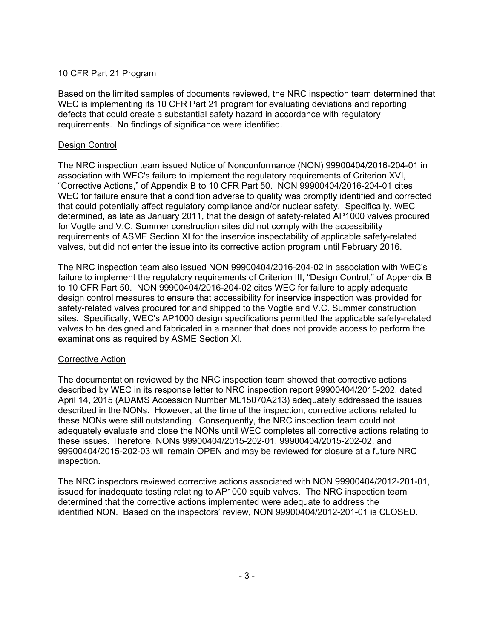## 10 CFR Part 21 Program

Based on the limited samples of documents reviewed, the NRC inspection team determined that WEC is implementing its 10 CFR Part 21 program for evaluating deviations and reporting defects that could create a substantial safety hazard in accordance with regulatory requirements. No findings of significance were identified.

## Design Control

The NRC inspection team issued Notice of Nonconformance (NON) 99900404/2016-204-01 in association with WEC's failure to implement the regulatory requirements of Criterion XVI, "Corrective Actions," of Appendix B to 10 CFR Part 50. NON 99900404/2016-204-01 cites WEC for failure ensure that a condition adverse to quality was promptly identified and corrected that could potentially affect regulatory compliance and/or nuclear safety. Specifically, WEC determined, as late as January 2011, that the design of safety-related AP1000 valves procured for Vogtle and V.C. Summer construction sites did not comply with the accessibility requirements of ASME Section XI for the inservice inspectability of applicable safety-related valves, but did not enter the issue into its corrective action program until February 2016.

The NRC inspection team also issued NON 99900404/2016-204-02 in association with WEC's failure to implement the regulatory requirements of Criterion III, "Design Control," of Appendix B to 10 CFR Part 50. NON 99900404/2016-204-02 cites WEC for failure to apply adequate design control measures to ensure that accessibility for inservice inspection was provided for safety-related valves procured for and shipped to the Vogtle and V.C. Summer construction sites. Specifically, WEC's AP1000 design specifications permitted the applicable safety-related valves to be designed and fabricated in a manner that does not provide access to perform the examinations as required by ASME Section XI.

## Corrective Action

The documentation reviewed by the NRC inspection team showed that corrective actions described by WEC in its response letter to NRC inspection report 99900404/2015-202, dated April 14, 2015 (ADAMS Accession Number ML15070A213) adequately addressed the issues described in the NONs. However, at the time of the inspection, corrective actions related to these NONs were still outstanding. Consequently, the NRC inspection team could not adequately evaluate and close the NONs until WEC completes all corrective actions relating to these issues. Therefore, NONs 99900404/2015-202-01, 99900404/2015-202-02, and 99900404/2015-202-03 will remain OPEN and may be reviewed for closure at a future NRC inspection.

The NRC inspectors reviewed corrective actions associated with NON 99900404/2012-201-01, issued for inadequate testing relating to AP1000 squib valves. The NRC inspection team determined that the corrective actions implemented were adequate to address the identified NON. Based on the inspectors' review, NON 99900404/2012-201-01 is CLOSED.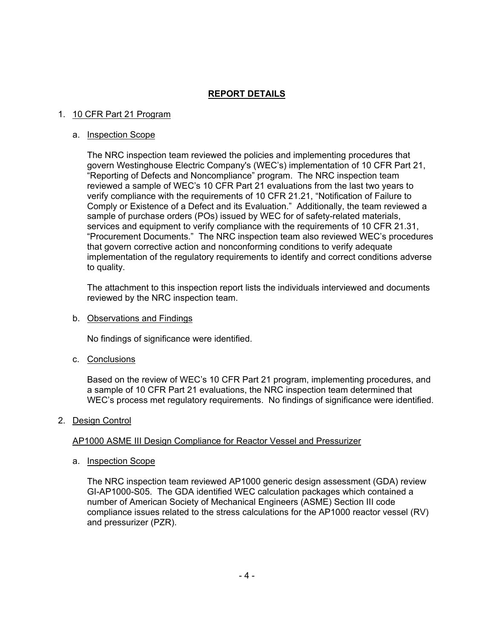## **REPORT DETAILS**

#### 1. 10 CFR Part 21 Program

#### a. Inspection Scope

The NRC inspection team reviewed the policies and implementing procedures that govern Westinghouse Electric Company's (WEC's) implementation of 10 CFR Part 21, "Reporting of Defects and Noncompliance" program. The NRC inspection team reviewed a sample of WEC's 10 CFR Part 21 evaluations from the last two years to verify compliance with the requirements of 10 CFR 21.21, "Notification of Failure to Comply or Existence of a Defect and its Evaluation." Additionally, the team reviewed a sample of purchase orders (POs) issued by WEC for of safety-related materials, services and equipment to verify compliance with the requirements of 10 CFR 21.31, "Procurement Documents." The NRC inspection team also reviewed WEC's procedures that govern corrective action and nonconforming conditions to verify adequate implementation of the regulatory requirements to identify and correct conditions adverse to quality.

The attachment to this inspection report lists the individuals interviewed and documents reviewed by the NRC inspection team.

b. Observations and Findings

No findings of significance were identified.

c. Conclusions

Based on the review of WEC's 10 CFR Part 21 program, implementing procedures, and a sample of 10 CFR Part 21 evaluations, the NRC inspection team determined that WEC's process met regulatory requirements. No findings of significance were identified.

## 2. Design Control

## AP1000 ASME III Design Compliance for Reactor Vessel and Pressurizer

a. Inspection Scope

The NRC inspection team reviewed AP1000 generic design assessment (GDA) review GI-AP1000-S05. The GDA identified WEC calculation packages which contained a number of American Society of Mechanical Engineers (ASME) Section III code compliance issues related to the stress calculations for the AP1000 reactor vessel (RV) and pressurizer (PZR).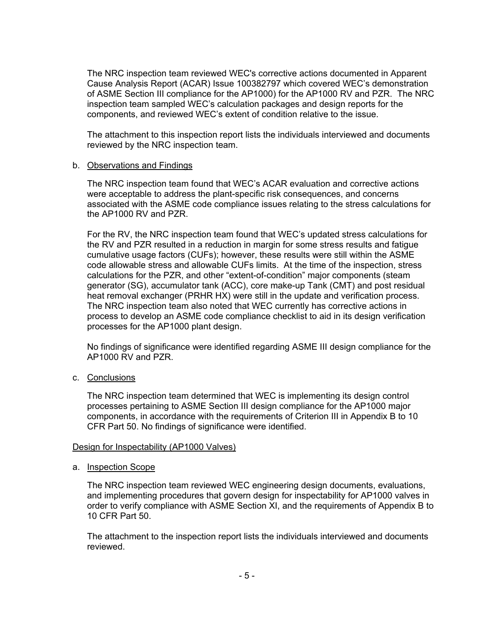The NRC inspection team reviewed WEC's corrective actions documented in Apparent Cause Analysis Report (ACAR) Issue 100382797 which covered WEC's demonstration of ASME Section III compliance for the AP1000) for the AP1000 RV and PZR. The NRC inspection team sampled WEC's calculation packages and design reports for the components, and reviewed WEC's extent of condition relative to the issue.

The attachment to this inspection report lists the individuals interviewed and documents reviewed by the NRC inspection team.

#### b. Observations and Findings

The NRC inspection team found that WEC's ACAR evaluation and corrective actions were acceptable to address the plant-specific risk consequences, and concerns associated with the ASME code compliance issues relating to the stress calculations for the AP1000 RV and PZR.

For the RV, the NRC inspection team found that WEC's updated stress calculations for the RV and PZR resulted in a reduction in margin for some stress results and fatigue cumulative usage factors (CUFs); however, these results were still within the ASME code allowable stress and allowable CUFs limits. At the time of the inspection, stress calculations for the PZR, and other "extent-of-condition" major components (steam generator (SG), accumulator tank (ACC), core make-up Tank (CMT) and post residual heat removal exchanger (PRHR HX) were still in the update and verification process. The NRC inspection team also noted that WEC currently has corrective actions in process to develop an ASME code compliance checklist to aid in its design verification processes for the AP1000 plant design.

No findings of significance were identified regarding ASME III design compliance for the AP1000 RV and PZR.

#### c. Conclusions

The NRC inspection team determined that WEC is implementing its design control processes pertaining to ASME Section III design compliance for the AP1000 major components, in accordance with the requirements of Criterion III in Appendix B to 10 CFR Part 50. No findings of significance were identified.

#### Design for Inspectability (AP1000 Valves)

a. Inspection Scope

The NRC inspection team reviewed WEC engineering design documents, evaluations, and implementing procedures that govern design for inspectability for AP1000 valves in order to verify compliance with ASME Section XI, and the requirements of Appendix B to 10 CFR Part 50.

The attachment to the inspection report lists the individuals interviewed and documents reviewed.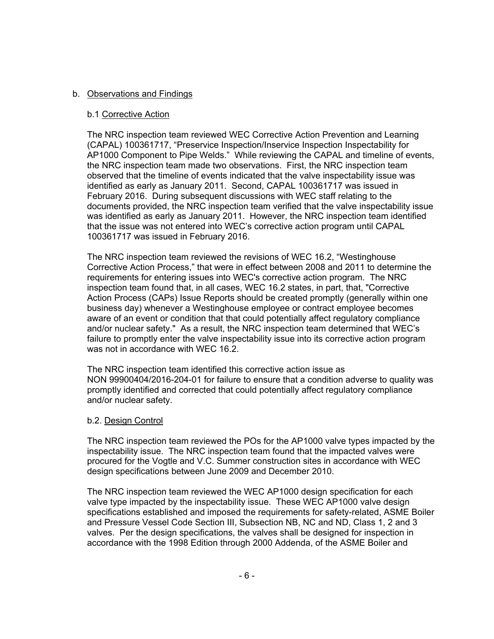## b. Observations and Findings

#### b.1 Corrective Action

The NRC inspection team reviewed WEC Corrective Action Prevention and Learning (CAPAL) 100361717, "Preservice Inspection/Inservice Inspection Inspectability for AP1000 Component to Pipe Welds." While reviewing the CAPAL and timeline of events, the NRC inspection team made two observations. First, the NRC inspection team observed that the timeline of events indicated that the valve inspectability issue was identified as early as January 2011. Second, CAPAL 100361717 was issued in February 2016. During subsequent discussions with WEC staff relating to the documents provided, the NRC inspection team verified that the valve inspectability issue was identified as early as January 2011. However, the NRC inspection team identified that the issue was not entered into WEC's corrective action program until CAPAL 100361717 was issued in February 2016.

The NRC inspection team reviewed the revisions of WEC 16.2, "Westinghouse Corrective Action Process," that were in effect between 2008 and 2011 to determine the requirements for entering issues into WEC's corrective action program. The NRC inspection team found that, in all cases, WEC 16.2 states, in part, that, "Corrective Action Process (CAPs) Issue Reports should be created promptly (generally within one business day) whenever a Westinghouse employee or contract employee becomes aware of an event or condition that that could potentially affect regulatory compliance and/or nuclear safety." As a result, the NRC inspection team determined that WEC's failure to promptly enter the valve inspectability issue into its corrective action program was not in accordance with WEC 16.2.

The NRC inspection team identified this corrective action issue as NON 99900404/2016-204-01 for failure to ensure that a condition adverse to quality was promptly identified and corrected that could potentially affect regulatory compliance and/or nuclear safety.

#### b.2. Design Control

The NRC inspection team reviewed the POs for the AP1000 valve types impacted by the inspectability issue. The NRC inspection team found that the impacted valves were procured for the Vogtle and V.C. Summer construction sites in accordance with WEC design specifications between June 2009 and December 2010.

The NRC inspection team reviewed the WEC AP1000 design specification for each valve type impacted by the inspectability issue. These WEC AP1000 valve design specifications established and imposed the requirements for safety-related, ASME Boiler and Pressure Vessel Code Section III, Subsection NB, NC and ND, Class 1, 2 and 3 valves. Per the design specifications, the valves shall be designed for inspection in accordance with the 1998 Edition through 2000 Addenda, of the ASME Boiler and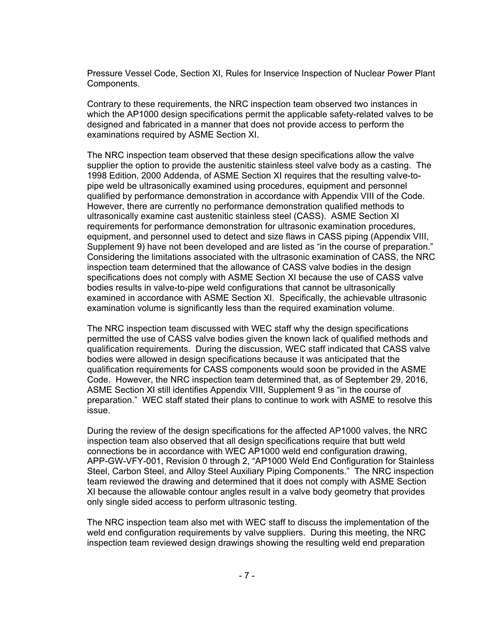Pressure Vessel Code, Section XI, Rules for Inservice Inspection of Nuclear Power Plant Components.

Contrary to these requirements, the NRC inspection team observed two instances in which the AP1000 design specifications permit the applicable safety-related valves to be designed and fabricated in a manner that does not provide access to perform the examinations required by ASME Section XI.

The NRC inspection team observed that these design specifications allow the valve supplier the option to provide the austenitic stainless steel valve body as a casting. The 1998 Edition, 2000 Addenda, of ASME Section XI requires that the resulting valve-topipe weld be ultrasonically examined using procedures, equipment and personnel qualified by performance demonstration in accordance with Appendix VIII of the Code. However, there are currently no performance demonstration qualified methods to ultrasonically examine cast austenitic stainless steel (CASS). ASME Section XI requirements for performance demonstration for ultrasonic examination procedures, equipment, and personnel used to detect and size flaws in CASS piping (Appendix VIII, Supplement 9) have not been developed and are listed as "in the course of preparation." Considering the limitations associated with the ultrasonic examination of CASS, the NRC inspection team determined that the allowance of CASS valve bodies in the design specifications does not comply with ASME Section XI because the use of CASS valve bodies results in valve-to-pipe weld configurations that cannot be ultrasonically examined in accordance with ASME Section XI. Specifically, the achievable ultrasonic examination volume is significantly less than the required examination volume.

The NRC inspection team discussed with WEC staff why the design specifications permitted the use of CASS valve bodies given the known lack of qualified methods and qualification requirements. During the discussion, WEC staff indicated that CASS valve bodies were allowed in design specifications because it was anticipated that the qualification requirements for CASS components would soon be provided in the ASME Code. However, the NRC inspection team determined that, as of September 29, 2016, ASME Section XI still identifies Appendix VIII, Supplement 9 as "in the course of preparation." WEC staff stated their plans to continue to work with ASME to resolve this issue.

During the review of the design specifications for the affected AP1000 valves, the NRC inspection team also observed that all design specifications require that butt weld connections be in accordance with WEC AP1000 weld end configuration drawing, APP-GW-VFY-001, Revision 0 through 2, "AP1000 Weld End Configuration for Stainless Steel, Carbon Steel, and Alloy Steel Auxiliary Piping Components." The NRC inspection team reviewed the drawing and determined that it does not comply with ASME Section XI because the allowable contour angles result in a valve body geometry that provides only single sided access to perform ultrasonic testing.

The NRC inspection team also met with WEC staff to discuss the implementation of the weld end configuration requirements by valve suppliers. During this meeting, the NRC inspection team reviewed design drawings showing the resulting weld end preparation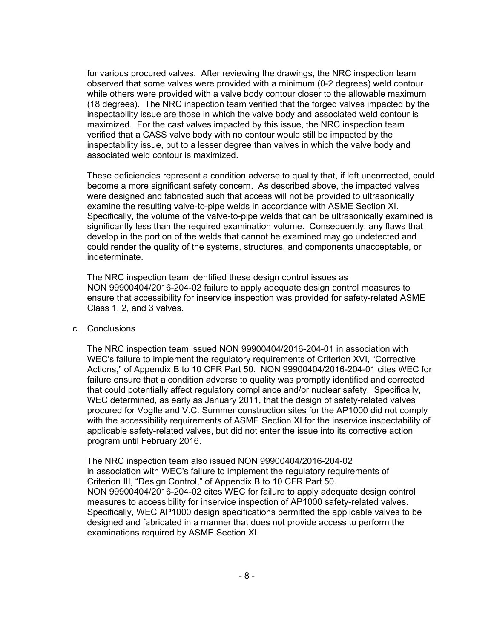for various procured valves. After reviewing the drawings, the NRC inspection team observed that some valves were provided with a minimum (0-2 degrees) weld contour while others were provided with a valve body contour closer to the allowable maximum (18 degrees). The NRC inspection team verified that the forged valves impacted by the inspectability issue are those in which the valve body and associated weld contour is maximized. For the cast valves impacted by this issue, the NRC inspection team verified that a CASS valve body with no contour would still be impacted by the inspectability issue, but to a lesser degree than valves in which the valve body and associated weld contour is maximized.

These deficiencies represent a condition adverse to quality that, if left uncorrected, could become a more significant safety concern. As described above, the impacted valves were designed and fabricated such that access will not be provided to ultrasonically examine the resulting valve-to-pipe welds in accordance with ASME Section XI. Specifically, the volume of the valve-to-pipe welds that can be ultrasonically examined is significantly less than the required examination volume. Consequently, any flaws that develop in the portion of the welds that cannot be examined may go undetected and could render the quality of the systems, structures, and components unacceptable, or indeterminate.

The NRC inspection team identified these design control issues as NON 99900404/2016-204-02 failure to apply adequate design control measures to ensure that accessibility for inservice inspection was provided for safety-related ASME Class 1, 2, and 3 valves.

#### c. Conclusions

The NRC inspection team issued NON 99900404/2016-204-01 in association with WEC's failure to implement the regulatory requirements of Criterion XVI, "Corrective Actions," of Appendix B to 10 CFR Part 50. NON 99900404/2016-204-01 cites WEC for failure ensure that a condition adverse to quality was promptly identified and corrected that could potentially affect regulatory compliance and/or nuclear safety. Specifically, WEC determined, as early as January 2011, that the design of safety-related valves procured for Vogtle and V.C. Summer construction sites for the AP1000 did not comply with the accessibility requirements of ASME Section XI for the inservice inspectability of applicable safety-related valves, but did not enter the issue into its corrective action program until February 2016.

The NRC inspection team also issued NON 99900404/2016-204-02 in association with WEC's failure to implement the regulatory requirements of Criterion III, "Design Control," of Appendix B to 10 CFR Part 50. NON 99900404/2016-204-02 cites WEC for failure to apply adequate design control measures to accessibility for inservice inspection of AP1000 safety-related valves. Specifically, WEC AP1000 design specifications permitted the applicable valves to be designed and fabricated in a manner that does not provide access to perform the examinations required by ASME Section XI.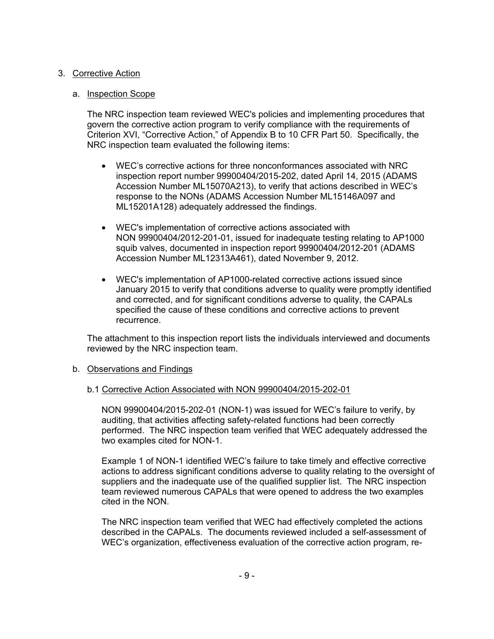## 3. Corrective Action

## a. Inspection Scope

The NRC inspection team reviewed WEC's policies and implementing procedures that govern the corrective action program to verify compliance with the requirements of Criterion XVI, "Corrective Action," of Appendix B to 10 CFR Part 50. Specifically, the NRC inspection team evaluated the following items:

- WEC's corrective actions for three nonconformances associated with NRC inspection report number 99900404/2015-202, dated April 14, 2015 (ADAMS Accession Number ML15070A213), to verify that actions described in WEC's response to the NONs (ADAMS Accession Number ML15146A097 and ML15201A128) adequately addressed the findings.
- WEC's implementation of corrective actions associated with NON 99900404/2012-201-01, issued for inadequate testing relating to AP1000 squib valves, documented in inspection report 99900404/2012-201 (ADAMS Accession Number ML12313A461), dated November 9, 2012.
- WEC's implementation of AP1000-related corrective actions issued since January 2015 to verify that conditions adverse to quality were promptly identified and corrected, and for significant conditions adverse to quality, the CAPALs specified the cause of these conditions and corrective actions to prevent recurrence.

The attachment to this inspection report lists the individuals interviewed and documents reviewed by the NRC inspection team.

## b. Observations and Findings

## b.1 Corrective Action Associated with NON 99900404/2015-202-01

NON 99900404/2015-202-01 (NON-1) was issued for WEC's failure to verify, by auditing, that activities affecting safety-related functions had been correctly performed. The NRC inspection team verified that WEC adequately addressed the two examples cited for NON-1.

Example 1 of NON-1 identified WEC's failure to take timely and effective corrective actions to address significant conditions adverse to quality relating to the oversight of suppliers and the inadequate use of the qualified supplier list. The NRC inspection team reviewed numerous CAPALs that were opened to address the two examples cited in the NON.

The NRC inspection team verified that WEC had effectively completed the actions described in the CAPALs. The documents reviewed included a self-assessment of WEC's organization, effectiveness evaluation of the corrective action program, re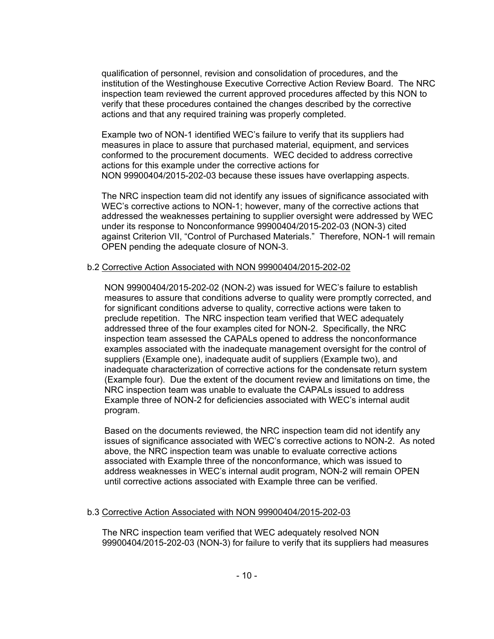qualification of personnel, revision and consolidation of procedures, and the institution of the Westinghouse Executive Corrective Action Review Board. The NRC inspection team reviewed the current approved procedures affected by this NON to verify that these procedures contained the changes described by the corrective actions and that any required training was properly completed.

Example two of NON-1 identified WEC's failure to verify that its suppliers had measures in place to assure that purchased material, equipment, and services conformed to the procurement documents. WEC decided to address corrective actions for this example under the corrective actions for NON 99900404/2015-202-03 because these issues have overlapping aspects.

The NRC inspection team did not identify any issues of significance associated with WEC's corrective actions to NON-1; however, many of the corrective actions that addressed the weaknesses pertaining to supplier oversight were addressed by WEC under its response to Nonconformance 99900404/2015-202-03 (NON-3) cited against Criterion VII, "Control of Purchased Materials." Therefore, NON-1 will remain OPEN pending the adequate closure of NON-3.

#### b.2 Corrective Action Associated with NON 99900404/2015-202-02

NON 99900404/2015-202-02 (NON-2) was issued for WEC's failure to establish measures to assure that conditions adverse to quality were promptly corrected, and for significant conditions adverse to quality, corrective actions were taken to preclude repetition. The NRC inspection team verified that WEC adequately addressed three of the four examples cited for NON-2. Specifically, the NRC inspection team assessed the CAPALs opened to address the nonconformance examples associated with the inadequate management oversight for the control of suppliers (Example one), inadequate audit of suppliers (Example two), and inadequate characterization of corrective actions for the condensate return system (Example four). Due the extent of the document review and limitations on time, the NRC inspection team was unable to evaluate the CAPALs issued to address Example three of NON-2 for deficiencies associated with WEC's internal audit program.

Based on the documents reviewed, the NRC inspection team did not identify any issues of significance associated with WEC's corrective actions to NON-2. As noted above, the NRC inspection team was unable to evaluate corrective actions associated with Example three of the nonconformance, which was issued to address weaknesses in WEC's internal audit program, NON-2 will remain OPEN until corrective actions associated with Example three can be verified.

## b.3 Corrective Action Associated with NON 99900404/2015-202-03

The NRC inspection team verified that WEC adequately resolved NON 99900404/2015-202-03 (NON-3) for failure to verify that its suppliers had measures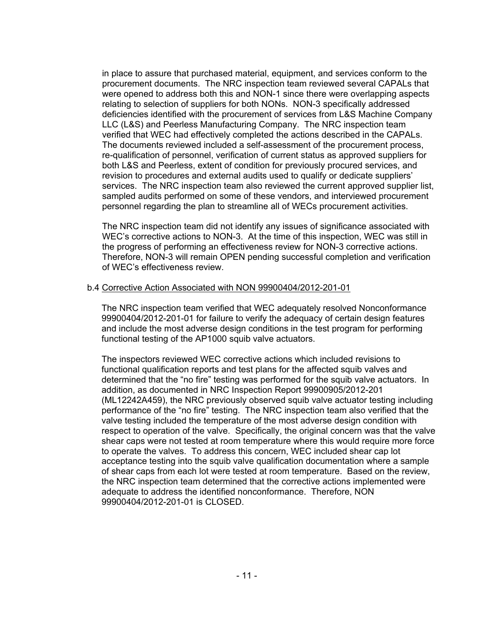in place to assure that purchased material, equipment, and services conform to the procurement documents. The NRC inspection team reviewed several CAPALs that were opened to address both this and NON-1 since there were overlapping aspects relating to selection of suppliers for both NONs. NON-3 specifically addressed deficiencies identified with the procurement of services from L&S Machine Company LLC (L&S) and Peerless Manufacturing Company. The NRC inspection team verified that WEC had effectively completed the actions described in the CAPALs. The documents reviewed included a self-assessment of the procurement process, re-qualification of personnel, verification of current status as approved suppliers for both L&S and Peerless, extent of condition for previously procured services, and revision to procedures and external audits used to qualify or dedicate suppliers' services. The NRC inspection team also reviewed the current approved supplier list, sampled audits performed on some of these vendors, and interviewed procurement personnel regarding the plan to streamline all of WECs procurement activities.

The NRC inspection team did not identify any issues of significance associated with WEC's corrective actions to NON-3. At the time of this inspection, WEC was still in the progress of performing an effectiveness review for NON-3 corrective actions. Therefore, NON-3 will remain OPEN pending successful completion and verification of WEC's effectiveness review.

#### b.4 Corrective Action Associated with NON 99900404/2012-201-01

The NRC inspection team verified that WEC adequately resolved Nonconformance 99900404/2012-201-01 for failure to verify the adequacy of certain design features and include the most adverse design conditions in the test program for performing functional testing of the AP1000 squib valve actuators.

The inspectors reviewed WEC corrective actions which included revisions to functional qualification reports and test plans for the affected squib valves and determined that the "no fire" testing was performed for the squib valve actuators. In addition, as documented in NRC Inspection Report 99900905/2012-201 (ML12242A459), the NRC previously observed squib valve actuator testing including performance of the "no fire" testing. The NRC inspection team also verified that the valve testing included the temperature of the most adverse design condition with respect to operation of the valve. Specifically, the original concern was that the valve shear caps were not tested at room temperature where this would require more force to operate the valves. To address this concern, WEC included shear cap lot acceptance testing into the squib valve qualification documentation where a sample of shear caps from each lot were tested at room temperature. Based on the review, the NRC inspection team determined that the corrective actions implemented were adequate to address the identified nonconformance. Therefore, NON 99900404/2012-201-01 is CLOSED.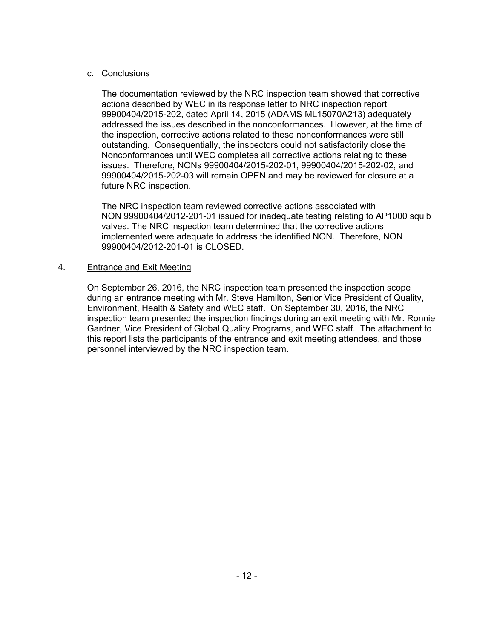## c. Conclusions

The documentation reviewed by the NRC inspection team showed that corrective actions described by WEC in its response letter to NRC inspection report 99900404/2015-202, dated April 14, 2015 (ADAMS ML15070A213) adequately addressed the issues described in the nonconformances. However, at the time of the inspection, corrective actions related to these nonconformances were still outstanding. Consequentially, the inspectors could not satisfactorily close the Nonconformances until WEC completes all corrective actions relating to these issues. Therefore, NONs 99900404/2015-202-01, 99900404/2015-202-02, and 99900404/2015-202-03 will remain OPEN and may be reviewed for closure at a future NRC inspection.

The NRC inspection team reviewed corrective actions associated with NON 99900404/2012-201-01 issued for inadequate testing relating to AP1000 squib valves. The NRC inspection team determined that the corrective actions implemented were adequate to address the identified NON. Therefore, NON 99900404/2012-201-01 is CLOSED.

## 4. Entrance and Exit Meeting

On September 26, 2016, the NRC inspection team presented the inspection scope during an entrance meeting with Mr. Steve Hamilton, Senior Vice President of Quality, Environment, Health & Safety and WEC staff. On September 30, 2016, the NRC inspection team presented the inspection findings during an exit meeting with Mr. Ronnie Gardner, Vice President of Global Quality Programs, and WEC staff. The attachment to this report lists the participants of the entrance and exit meeting attendees, and those personnel interviewed by the NRC inspection team.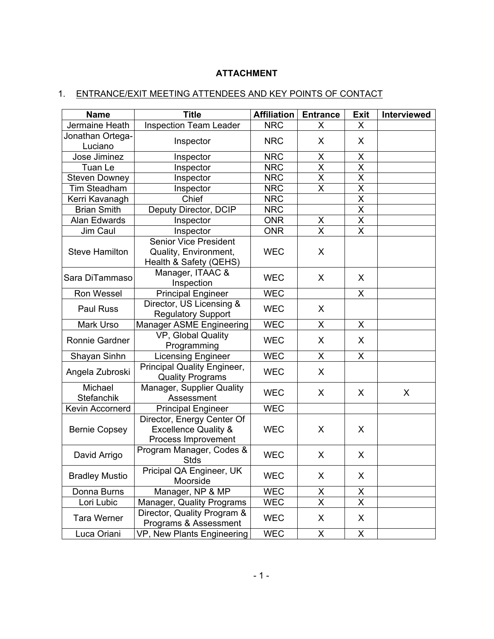# **ATTACHMENT**

# 1. ENTRANCE/EXIT MEETING ATTENDEES AND KEY POINTS OF CONTACT

| <b>Name</b>                 | <b>Title</b>                                                                         | <b>Affiliation</b> | <b>Entrance</b>         | <b>Exit</b>             | Interviewed |
|-----------------------------|--------------------------------------------------------------------------------------|--------------------|-------------------------|-------------------------|-------------|
| Jermaine Heath              | <b>Inspection Team Leader</b>                                                        | <b>NRC</b>         | X                       | X                       |             |
| Jonathan Ortega-<br>Luciano | Inspector                                                                            | <b>NRC</b>         | X                       | X                       |             |
| Jose Jiminez                | Inspector                                                                            | <b>NRC</b>         | X                       | X                       |             |
| Tuan Le                     | Inspector                                                                            | <b>NRC</b>         | $\overline{\mathsf{x}}$ | $\overline{\mathsf{x}}$ |             |
| <b>Steven Downey</b>        | Inspector                                                                            | <b>NRC</b>         | X                       | X                       |             |
| Tim Steadham                | Inspector                                                                            | <b>NRC</b>         | $\overline{\mathsf{x}}$ | $\overline{\mathsf{x}}$ |             |
| Kerri Kavanagh              | Chief                                                                                | <b>NRC</b>         |                         | $\overline{\mathsf{x}}$ |             |
| <b>Brian Smith</b>          | Deputy Director, DCIP                                                                | <b>NRC</b>         |                         | $\overline{\mathsf{x}}$ |             |
| Alan Edwards                | Inspector                                                                            | <b>ONR</b>         | Χ                       | $\sf X$                 |             |
| Jim Caul                    | Inspector                                                                            | <b>ONR</b>         | X                       | X                       |             |
| <b>Steve Hamilton</b>       | <b>Senior Vice President</b><br>Quality, Environment,<br>Health & Safety (QEHS)      | <b>WEC</b>         | X                       |                         |             |
| Sara DiTammaso              | Manager, ITAAC &<br>Inspection                                                       | <b>WEC</b>         | X                       | X                       |             |
| Ron Wessel                  | <b>Principal Engineer</b>                                                            | <b>WEC</b>         |                         | X                       |             |
| <b>Paul Russ</b>            | Director, US Licensing &<br><b>Regulatory Support</b>                                | <b>WEC</b>         | X                       |                         |             |
| Mark Urso                   | Manager ASME Engineering                                                             | <b>WEC</b>         | X                       | X                       |             |
| Ronnie Gardner              | VP, Global Quality<br>Programming                                                    | <b>WEC</b>         | X                       | X                       |             |
| Shayan Sinhn                | <b>Licensing Engineer</b>                                                            | <b>WEC</b>         | X                       | X                       |             |
| Angela Zubroski             | Principal Quality Engineer,<br><b>Quality Programs</b>                               | <b>WEC</b>         | X                       |                         |             |
| Michael<br>Stefanchik       | Manager, Supplier Quality<br>Assessment                                              | <b>WEC</b>         | X                       | X                       | X           |
| Kevin Accornerd             | <b>Principal Engineer</b>                                                            | <b>WEC</b>         |                         |                         |             |
| <b>Bernie Copsey</b>        | Director, Energy Center Of<br><b>Excellence Quality &amp;</b><br>Process Improvement | <b>WEC</b>         | X                       | X                       |             |
| David Arrigo                | Program Manager, Codes &<br><b>Stds</b>                                              | <b>WEC</b>         | X                       | X                       |             |
| <b>Bradley Mustio</b>       | Pricipal QA Engineer, UK<br>Moorside                                                 | <b>WEC</b>         | X                       | X                       |             |
| Donna Burns                 | Manager, NP & MP                                                                     | <b>WEC</b>         | X                       | X                       |             |
| Lori Lubic                  | Manager, Quality Programs                                                            | <b>WEC</b>         | $\overline{\mathsf{x}}$ | $\overline{\mathsf{x}}$ |             |
| <b>Tara Werner</b>          | Director, Quality Program &<br>Programs & Assessment                                 | <b>WEC</b>         | X                       | X                       |             |
| Luca Oriani                 | VP, New Plants Engineering                                                           | <b>WEC</b>         | X                       | X                       |             |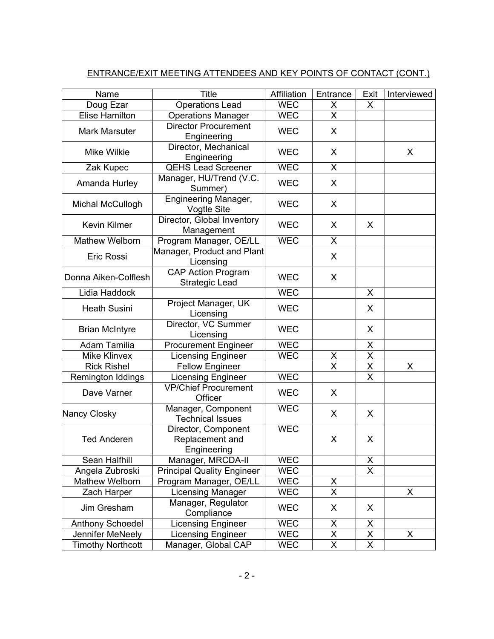# ENTRANCE/EXIT MEETING ATTENDEES AND KEY POINTS OF CONTACT (CONT.)

| Name                     | <b>Title</b>                                          | Affiliation | Entrance                        | Exit                    | Interviewed |
|--------------------------|-------------------------------------------------------|-------------|---------------------------------|-------------------------|-------------|
| Doug Ezar                | <b>Operations Lead</b>                                | <b>WEC</b>  | X                               | X                       |             |
| <b>Elise Hamilton</b>    | <b>Operations Manager</b>                             | <b>WEC</b>  | X                               |                         |             |
| <b>Mark Marsuter</b>     | <b>Director Procurement</b><br>Engineering            | <b>WEC</b>  | X                               |                         |             |
| <b>Mike Wilkie</b>       | Director, Mechanical<br>Engineering                   | <b>WEC</b>  | X                               |                         | X           |
| Zak Kupec                | <b>QEHS Lead Screener</b>                             | <b>WEC</b>  | X                               |                         |             |
| Amanda Hurley            | Manager, HU/Trend (V.C.<br>Summer)                    | <b>WEC</b>  | X                               |                         |             |
| Michal McCullogh         | <b>Engineering Manager,</b><br><b>Vogtle Site</b>     | <b>WEC</b>  | X                               |                         |             |
| Kevin Kilmer             | Director, Global Inventory<br>Management              | <b>WEC</b>  | X                               | X                       |             |
| <b>Mathew Welborn</b>    | Program Manager, OE/LL                                | <b>WEC</b>  | X                               |                         |             |
| <b>Eric Rossi</b>        | Manager, Product and Plant<br>Licensing               |             | X                               |                         |             |
| Donna Aiken-Colflesh     | <b>CAP Action Program</b><br><b>Strategic Lead</b>    | <b>WEC</b>  | X                               |                         |             |
| Lidia Haddock            |                                                       | <b>WEC</b>  |                                 | $\pmb{\times}$          |             |
| <b>Heath Susini</b>      | Project Manager, UK<br>Licensing                      | <b>WEC</b>  |                                 | X                       |             |
| <b>Brian McIntyre</b>    | Director, VC Summer<br>Licensing                      | <b>WEC</b>  |                                 | X                       |             |
| Adam Tamilia             | <b>Procurement Engineer</b>                           | <b>WEC</b>  |                                 | X                       |             |
| <b>Mike Klinvex</b>      | <b>Licensing Engineer</b>                             | <b>WEC</b>  |                                 | X                       |             |
| <b>Rick Rishel</b>       | <b>Fellow Engineer</b>                                |             | $\frac{\mathsf{X}}{\mathsf{X}}$ | $\overline{\mathsf{x}}$ | X           |
| Remington Iddings        | <b>Licensing Engineer</b>                             | <b>WEC</b>  |                                 | $\sf X$                 |             |
| Dave Varner              | <b>VP/Chief Procurement</b><br>Officer                | <b>WEC</b>  | X                               |                         |             |
| Nancy Closky             | Manager, Component<br><b>Technical Issues</b>         | <b>WEC</b>  | X                               | X                       |             |
| <b>Ted Anderen</b>       | Director, Component<br>Replacement and<br>Engineering | <b>WEC</b>  | X                               | X                       |             |
| Sean Halfhill            | Manager, MRCDA-II                                     | <b>WEC</b>  |                                 | X                       |             |
| Angela Zubroski          | <b>Principal Quality Engineer</b>                     | <b>WEC</b>  |                                 | X                       |             |
| Mathew Welborn           | Program Manager, OE/LL                                | <b>WEC</b>  | X                               |                         |             |
| Zach Harper              | <b>Licensing Manager</b>                              | <b>WEC</b>  | $\overline{\mathsf{x}}$         |                         | X           |
| Jim Gresham              | Manager, Regulator<br>Compliance                      | <b>WEC</b>  | X                               | X                       |             |
| <b>Anthony Schoedel</b>  | <b>Licensing Engineer</b>                             | <b>WEC</b>  | X                               | X                       |             |
| Jennifer MeNeely         | <b>Licensing Engineer</b>                             | <b>WEC</b>  | X                               | $\pmb{\mathsf{X}}$      | X           |
| <b>Timothy Northcott</b> | Manager, Global CAP                                   | <b>WEC</b>  | $\overline{X}$                  | $\overline{\mathsf{X}}$ |             |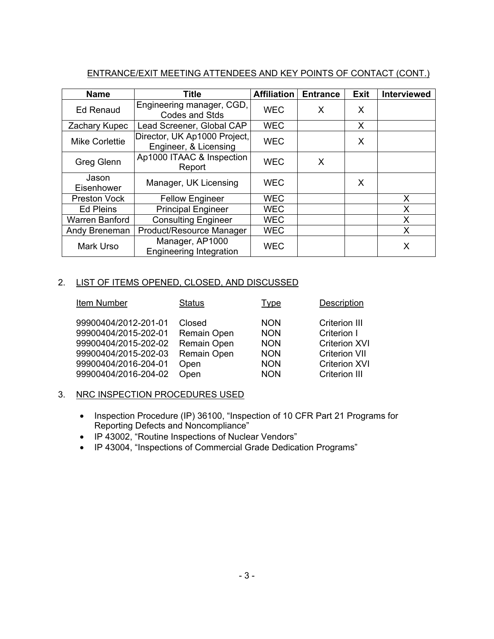# ENTRANCE/EXIT MEETING ATTENDEES AND KEY POINTS OF CONTACT (CONT.)

| <b>Name</b>           | <b>Title</b>                                          | <b>Affiliation</b> | <b>Entrance</b> | <b>Exit</b> | Interviewed |
|-----------------------|-------------------------------------------------------|--------------------|-----------------|-------------|-------------|
| <b>Ed Renaud</b>      | Engineering manager, CGD,<br><b>Codes and Stds</b>    | <b>WEC</b>         | X               | X           |             |
| Zachary Kupec         | Lead Screener, Global CAP                             | <b>WEC</b>         |                 | X           |             |
| <b>Mike Corlettie</b> | Director, UK Ap1000 Project,<br>Engineer, & Licensing | <b>WEC</b>         |                 | X           |             |
| <b>Greg Glenn</b>     | Ap1000 ITAAC & Inspection<br>Report                   | <b>WEC</b>         | X               |             |             |
| Jason<br>Eisenhower   | Manager, UK Licensing                                 | <b>WEC</b>         |                 | X           |             |
| <b>Preston Vock</b>   | <b>Fellow Engineer</b>                                | <b>WEC</b>         |                 |             | X           |
| <b>Ed Pleins</b>      | <b>Principal Engineer</b>                             | <b>WEC</b>         |                 |             | X           |
| Warren Banford        | <b>Consulting Engineer</b>                            | <b>WEC</b>         |                 |             | X           |
| Andy Breneman         | Product/Resource Manager                              | <b>WEC</b>         |                 |             | Χ           |
| Mark Urso             | Manager, AP1000<br><b>Engineering Integration</b>     | <b>WEC</b>         |                 |             | X           |

# 2. LIST OF ITEMS OPENED, CLOSED, AND DISCUSSED

| Item Number          | <b>Status</b> | Type       | Description          |
|----------------------|---------------|------------|----------------------|
| 99900404/2012-201-01 | Closed        | <b>NON</b> | <b>Criterion III</b> |
| 99900404/2015-202-01 | Remain Open   | <b>NON</b> | Criterion I          |
| 99900404/2015-202-02 | Remain Open   | <b>NON</b> | <b>Criterion XVI</b> |
| 99900404/2015-202-03 | Remain Open   | <b>NON</b> | <b>Criterion VII</b> |
| 99900404/2016-204-01 | Open          | <b>NON</b> | <b>Criterion XVI</b> |
| 99900404/2016-204-02 | Open          | <b>NON</b> | <b>Criterion III</b> |

# 3. NRC INSPECTION PROCEDURES USED

- Inspection Procedure (IP) 36100, "Inspection of 10 CFR Part 21 Programs for Reporting Defects and Noncompliance"
- IP 43002, "Routine Inspections of Nuclear Vendors"
- IP 43004, "Inspections of Commercial Grade Dedication Programs"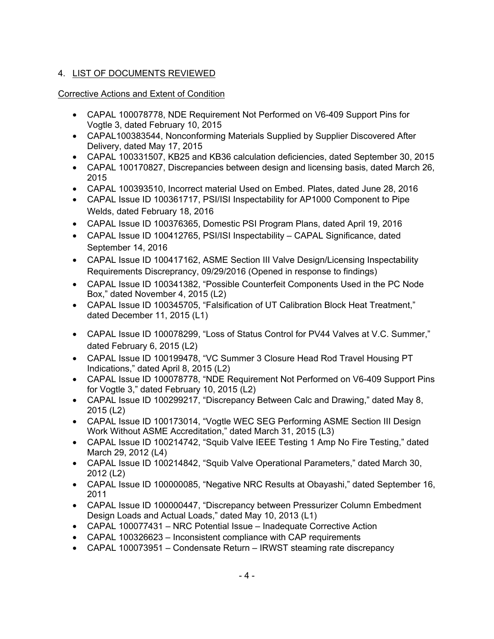# 4. LIST OF DOCUMENTS REVIEWED

# Corrective Actions and Extent of Condition

- CAPAL 100078778, NDE Requirement Not Performed on V6-409 Support Pins for Vogtle 3, dated February 10, 2015
- CAPAL100383544, Nonconforming Materials Supplied by Supplier Discovered After Delivery, dated May 17, 2015
- CAPAL 100331507, KB25 and KB36 calculation deficiencies, dated September 30, 2015
- CAPAL 100170827, Discrepancies between design and licensing basis, dated March 26, 2015
- CAPAL 100393510, Incorrect material Used on Embed. Plates, dated June 28, 2016
- CAPAL Issue ID 100361717, PSI/ISI Inspectability for AP1000 Component to Pipe Welds, dated February 18, 2016
- CAPAL Issue ID 100376365, Domestic PSI Program Plans, dated April 19, 2016
- CAPAL Issue ID 100412765, PSI/ISI Inspectability CAPAL Significance, dated September 14, 2016
- CAPAL Issue ID 100417162, ASME Section III Valve Design/Licensing Inspectability Requirements Discreprancy, 09/29/2016 (Opened in response to findings)
- CAPAL Issue ID 100341382, "Possible Counterfeit Components Used in the PC Node Box," dated November 4, 2015 (L2)
- CAPAL Issue ID 100345705, "Falsification of UT Calibration Block Heat Treatment," dated December 11, 2015 (L1)
- CAPAL Issue ID 100078299, "Loss of Status Control for PV44 Valves at V.C. Summer," dated February 6, 2015 (L2)
- CAPAL Issue ID 100199478, "VC Summer 3 Closure Head Rod Travel Housing PT Indications," dated April 8, 2015 (L2)
- CAPAL Issue ID 100078778, "NDE Requirement Not Performed on V6-409 Support Pins for Vogtle 3," dated February 10, 2015 (L2)
- CAPAL Issue ID 100299217, "Discrepancy Between Calc and Drawing," dated May 8, 2015 (L2)
- CAPAL Issue ID 100173014, "Vogtle WEC SEG Performing ASME Section III Design Work Without ASME Accreditation," dated March 31, 2015 (L3)
- CAPAL Issue ID 100214742, "Squib Valve IEEE Testing 1 Amp No Fire Testing," dated March 29, 2012 (L4)
- CAPAL Issue ID 100214842, "Squib Valve Operational Parameters," dated March 30, 2012 (L2)
- CAPAL Issue ID 100000085, "Negative NRC Results at Obayashi," dated September 16, 2011
- CAPAL Issue ID 100000447, "Discrepancy between Pressurizer Column Embedment Design Loads and Actual Loads," dated May 10, 2013 (L1)
- CAPAL 100077431 NRC Potential Issue Inadequate Corrective Action
- CAPAL 100326623 Inconsistent compliance with CAP requirements
- CAPAL 100073951 Condensate Return IRWST steaming rate discrepancy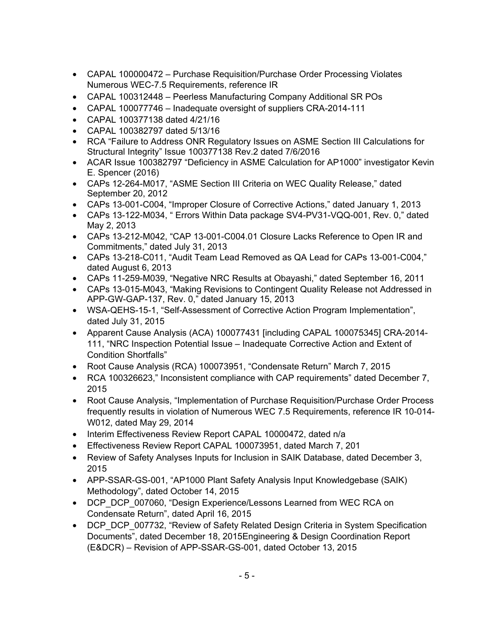- CAPAL 100000472 Purchase Requisition/Purchase Order Processing Violates Numerous WEC-7.5 Requirements, reference IR
- CAPAL 100312448 Peerless Manufacturing Company Additional SR POs
- CAPAL 100077746 Inadequate oversight of suppliers CRA-2014-111
- CAPAL 100377138 dated 4/21/16
- CAPAL 100382797 dated 5/13/16
- RCA "Failure to Address ONR Regulatory Issues on ASME Section III Calculations for Structural Integrity" Issue 100377138 Rev.2 dated 7/6/2016
- ACAR Issue 100382797 "Deficiency in ASME Calculation for AP1000" investigator Kevin E. Spencer (2016)
- CAPs 12-264-M017, "ASME Section III Criteria on WEC Quality Release," dated September 20, 2012
- CAPs 13-001-C004, "Improper Closure of Corrective Actions," dated January 1, 2013
- CAPs 13-122-M034, " Errors Within Data package SV4-PV31-VQQ-001, Rev. 0," dated May 2, 2013
- CAPs 13-212-M042, "CAP 13-001-C004.01 Closure Lacks Reference to Open IR and Commitments," dated July 31, 2013
- CAPs 13-218-C011, "Audit Team Lead Removed as QA Lead for CAPs 13-001-C004," dated August 6, 2013
- CAPs 11-259-M039, "Negative NRC Results at Obayashi," dated September 16, 2011
- CAPs 13-015-M043, "Making Revisions to Contingent Quality Release not Addressed in APP-GW-GAP-137, Rev. 0," dated January 15, 2013
- WSA-QEHS-15-1, "Self-Assessment of Corrective Action Program Implementation", dated July 31, 2015
- Apparent Cause Analysis (ACA) 100077431 [including CAPAL 100075345] CRA-2014- 111, "NRC Inspection Potential Issue – Inadequate Corrective Action and Extent of Condition Shortfalls"
- Root Cause Analysis (RCA) 100073951, "Condensate Return" March 7, 2015
- RCA 100326623," Inconsistent compliance with CAP requirements" dated December 7, 2015
- Root Cause Analysis, "Implementation of Purchase Requisition/Purchase Order Process frequently results in violation of Numerous WEC 7.5 Requirements, reference IR 10-014- W012, dated May 29, 2014
- Interim Effectiveness Review Report CAPAL 10000472, dated n/a
- Effectiveness Review Report CAPAL 100073951, dated March 7, 201
- Review of Safety Analyses Inputs for Inclusion in SAIK Database, dated December 3, 2015
- APP-SSAR-GS-001, "AP1000 Plant Safety Analysis Input Knowledgebase (SAIK) Methodology", dated October 14, 2015
- DCP\_DCP\_007060, "Design Experience/Lessons Learned from WEC RCA on Condensate Return", dated April 16, 2015
- DCP\_DCP\_007732, "Review of Safety Related Design Criteria in System Specification Documents", dated December 18, 2015Engineering & Design Coordination Report (E&DCR) – Revision of APP-SSAR-GS-001, dated October 13, 2015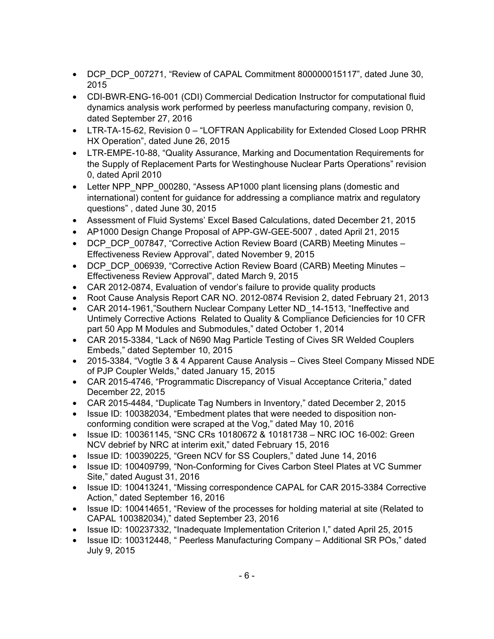- DCP\_DCP\_007271, "Review of CAPAL Commitment 800000015117", dated June 30, 2015
- CDI-BWR-ENG-16-001 (CDI) Commercial Dedication Instructor for computational fluid dynamics analysis work performed by peerless manufacturing company, revision 0, dated September 27, 2016
- LTR-TA-15-62, Revision 0 "LOFTRAN Applicability for Extended Closed Loop PRHR HX Operation", dated June 26, 2015
- LTR-EMPE-10-88, "Quality Assurance, Marking and Documentation Requirements for the Supply of Replacement Parts for Westinghouse Nuclear Parts Operations" revision 0, dated April 2010
- Letter NPP\_NPP\_000280, "Assess AP1000 plant licensing plans (domestic and international) content for guidance for addressing a compliance matrix and regulatory questions" , dated June 30, 2015
- Assessment of Fluid Systems' Excel Based Calculations, dated December 21, 2015
- AP1000 Design Change Proposal of APP-GW-GEE-5007 , dated April 21, 2015
- DCP\_DCP\_007847, "Corrective Action Review Board (CARB) Meeting Minutes Effectiveness Review Approval", dated November 9, 2015
- DCP\_DCP\_006939, "Corrective Action Review Board (CARB) Meeting Minutes Effectiveness Review Approval", dated March 9, 2015
- CAR 2012-0874, Evaluation of vendor's failure to provide quality products
- Root Cause Analysis Report CAR NO. 2012-0874 Revision 2, dated February 21, 2013
- CAR 2014-1961."Southern Nuclear Company Letter ND 14-1513, "Ineffective and Untimely Corrective Actions Related to Quality & Compliance Deficiencies for 10 CFR part 50 App M Modules and Submodules," dated October 1, 2014
- CAR 2015-3384, "Lack of N690 Mag Particle Testing of Cives SR Welded Couplers Embeds," dated September 10, 2015
- 2015-3384, "Vogtle 3 & 4 Apparent Cause Analysis Cives Steel Company Missed NDE of PJP Coupler Welds," dated January 15, 2015
- CAR 2015-4746, "Programmatic Discrepancy of Visual Acceptance Criteria," dated December 22, 2015
- CAR 2015-4484, "Duplicate Tag Numbers in Inventory," dated December 2, 2015
- Issue ID: 100382034, "Embedment plates that were needed to disposition nonconforming condition were scraped at the Vog," dated May 10, 2016
- Issue ID: 100361145, "SNC CRs 10180672 & 10181738 NRC IOC 16-002: Green NCV debrief by NRC at interim exit," dated February 15, 2016
- Issue ID: 100390225, "Green NCV for SS Couplers," dated June 14, 2016
- Issue ID: 100409799, "Non-Conforming for Cives Carbon Steel Plates at VC Summer Site," dated August 31, 2016
- Issue ID: 100413241, "Missing correspondence CAPAL for CAR 2015-3384 Corrective Action," dated September 16, 2016
- Issue ID: 100414651, "Review of the processes for holding material at site (Related to CAPAL 100382034)," dated September 23, 2016
- Issue ID: 100237332, "Inadequate Implementation Criterion I," dated April 25, 2015
- Issue ID: 100312448, " Peerless Manufacturing Company Additional SR POs," dated July 9, 2015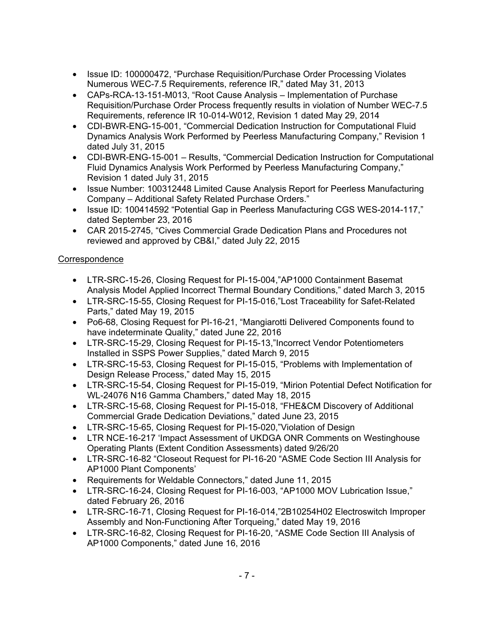- Issue ID: 100000472, "Purchase Requisition/Purchase Order Processing Violates Numerous WEC-7.5 Requirements, reference IR," dated May 31, 2013
- CAPs-RCA-13-151-M013, "Root Cause Analysis Implementation of Purchase Requisition/Purchase Order Process frequently results in violation of Number WEC-7.5 Requirements, reference IR 10-014-W012, Revision 1 dated May 29, 2014
- CDI-BWR-ENG-15-001, "Commercial Dedication Instruction for Computational Fluid Dynamics Analysis Work Performed by Peerless Manufacturing Company," Revision 1 dated July 31, 2015
- CDI-BWR-ENG-15-001 Results, "Commercial Dedication Instruction for Computational Fluid Dynamics Analysis Work Performed by Peerless Manufacturing Company," Revision 1 dated July 31, 2015
- Issue Number: 100312448 Limited Cause Analysis Report for Peerless Manufacturing Company – Additional Safety Related Purchase Orders."
- Issue ID: 100414592 "Potential Gap in Peerless Manufacturing CGS WES-2014-117," dated September 23, 2016
- CAR 2015-2745, "Cives Commercial Grade Dedication Plans and Procedures not reviewed and approved by CB&I," dated July 22, 2015

# **Correspondence**

- LTR-SRC-15-26, Closing Request for PI-15-004,"AP1000 Containment Basemat Analysis Model Applied Incorrect Thermal Boundary Conditions," dated March 3, 2015
- LTR-SRC-15-55, Closing Request for PI-15-016,"Lost Traceability for Safet-Related Parts," dated May 19, 2015
- Po6-68, Closing Request for PI-16-21, "Mangiarotti Delivered Components found to have indeterminate Quality," dated June 22, 2016
- LTR-SRC-15-29, Closing Request for PI-15-13,"Incorrect Vendor Potentiometers Installed in SSPS Power Supplies," dated March 9, 2015
- LTR-SRC-15-53, Closing Request for PI-15-015, "Problems with Implementation of Design Release Process," dated May 15, 2015
- LTR-SRC-15-54, Closing Request for PI-15-019, "Mirion Potential Defect Notification for WL-24076 N16 Gamma Chambers," dated May 18, 2015
- LTR-SRC-15-68, Closing Request for PI-15-018, "FHE&CM Discovery of Additional Commercial Grade Dedication Deviations," dated June 23, 2015
- LTR-SRC-15-65, Closing Request for PI-15-020,"Violation of Design
- LTR NCE-16-217 'Impact Assessment of UKDGA ONR Comments on Westinghouse Operating Plants (Extent Condition Assessments) dated 9/26/20
- LTR-SRC-16-82 "Closeout Request for PI-16-20 "ASME Code Section III Analysis for AP1000 Plant Components'
- Requirements for Weldable Connectors," dated June 11, 2015
- LTR-SRC-16-24, Closing Request for PI-16-003, "AP1000 MOV Lubrication Issue," dated February 26, 2016
- LTR-SRC-16-71, Closing Request for PI-16-014,"2B10254H02 Electroswitch Improper Assembly and Non-Functioning After Torqueing," dated May 19, 2016
- LTR-SRC-16-82, Closing Request for PI-16-20, "ASME Code Section III Analysis of AP1000 Components," dated June 16, 2016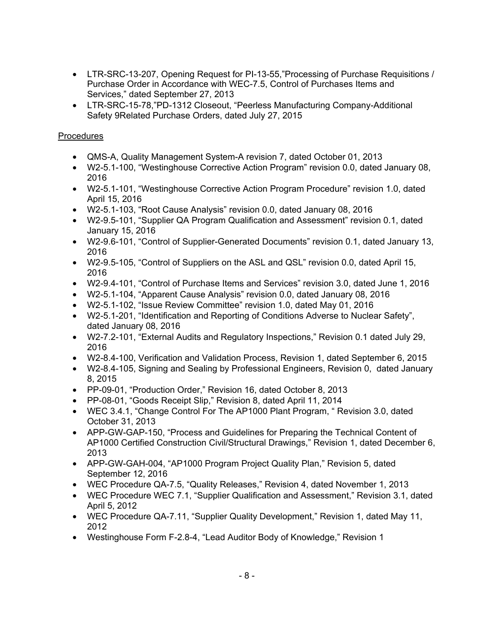- LTR-SRC-13-207, Opening Request for PI-13-55,"Processing of Purchase Requisitions / Purchase Order in Accordance with WEC-7.5, Control of Purchases Items and Services," dated September 27, 2013
- LTR-SRC-15-78,"PD-1312 Closeout, "Peerless Manufacturing Company-Additional Safety 9Related Purchase Orders, dated July 27, 2015

# Procedures

- QMS-A, Quality Management System-A revision 7, dated October 01, 2013
- W2-5.1-100, "Westinghouse Corrective Action Program" revision 0.0, dated January 08, 2016
- W2-5.1-101, "Westinghouse Corrective Action Program Procedure" revision 1.0, dated April 15, 2016
- W2-5.1-103, "Root Cause Analysis" revision 0.0, dated January 08, 2016
- W2-9.5-101, "Supplier QA Program Qualification and Assessment" revision 0.1, dated January 15, 2016
- W2-9.6-101, "Control of Supplier-Generated Documents" revision 0.1, dated January 13, 2016
- W2-9.5-105, "Control of Suppliers on the ASL and QSL" revision 0.0, dated April 15, 2016
- W2-9.4-101, "Control of Purchase Items and Services" revision 3.0, dated June 1, 2016
- W2-5.1-104, "Apparent Cause Analysis" revision 0.0, dated January 08, 2016
- W2-5.1-102, "Issue Review Committee" revision 1.0, dated May 01, 2016
- W2-5.1-201, "Identification and Reporting of Conditions Adverse to Nuclear Safety", dated January 08, 2016
- W2-7.2-101, "External Audits and Regulatory Inspections," Revision 0.1 dated July 29, 2016
- W2-8.4-100, Verification and Validation Process, Revision 1, dated September 6, 2015
- W2-8.4-105, Signing and Sealing by Professional Engineers, Revision 0, dated January 8, 2015
- PP-09-01, "Production Order," Revision 16, dated October 8, 2013
- PP-08-01, "Goods Receipt Slip," Revision 8, dated April 11, 2014
- WEC 3.4.1, "Change Control For The AP1000 Plant Program, " Revision 3.0, dated October 31, 2013
- APP-GW-GAP-150, "Process and Guidelines for Preparing the Technical Content of AP1000 Certified Construction Civil/Structural Drawings," Revision 1, dated December 6, 2013
- APP-GW-GAH-004, "AP1000 Program Project Quality Plan," Revision 5, dated September 12, 2016
- WEC Procedure QA-7.5, "Quality Releases," Revision 4, dated November 1, 2013
- WEC Procedure WEC 7.1, "Supplier Qualification and Assessment," Revision 3.1, dated April 5, 2012
- WEC Procedure QA-7.11, "Supplier Quality Development," Revision 1, dated May 11, 2012
- Westinghouse Form F-2.8-4, "Lead Auditor Body of Knowledge," Revision 1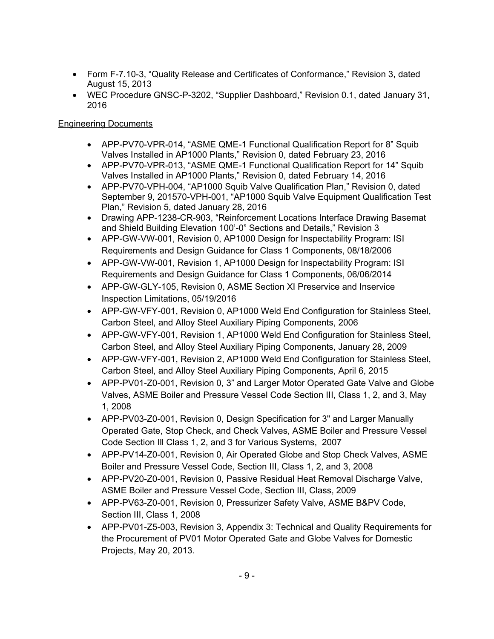- Form F-7.10-3, "Quality Release and Certificates of Conformance," Revision 3, dated August 15, 2013
- WEC Procedure GNSC-P-3202, "Supplier Dashboard," Revision 0.1, dated January 31, 2016

# Engineering Documents

- APP-PV70-VPR-014, "ASME QME-1 Functional Qualification Report for 8" Squib Valves Installed in AP1000 Plants," Revision 0, dated February 23, 2016
- APP-PV70-VPR-013, "ASME QME-1 Functional Qualification Report for 14" Squib Valves Installed in AP1000 Plants," Revision 0, dated February 14, 2016
- APP-PV70-VPH-004, "AP1000 Squib Valve Qualification Plan," Revision 0, dated September 9, 201570-VPH-001, "AP1000 Squib Valve Equipment Qualification Test Plan," Revision 5, dated January 28, 2016
- Drawing APP-1238-CR-903, "Reinforcement Locations Interface Drawing Basemat and Shield Building Elevation 100'-0" Sections and Details," Revision 3
- APP-GW-VW-001, Revision 0, AP1000 Design for Inspectability Program: ISI Requirements and Design Guidance for Class 1 Components, 08/18/2006
- APP-GW-VW-001, Revision 1, AP1000 Design for Inspectability Program: ISI Requirements and Design Guidance for Class 1 Components, 06/06/2014
- APP-GW-GLY-105, Revision 0, ASME Section XI Preservice and Inservice Inspection Limitations, 05/19/2016
- APP-GW-VFY-001, Revision 0, AP1000 Weld End Configuration for Stainless Steel, Carbon Steel, and Alloy Steel Auxiliary Piping Components, 2006
- APP-GW-VFY-001, Revision 1, AP1000 Weld End Configuration for Stainless Steel, Carbon Steel, and Alloy Steel Auxiliary Piping Components, January 28, 2009
- APP-GW-VFY-001, Revision 2, AP1000 Weld End Configuration for Stainless Steel, Carbon Steel, and Alloy Steel Auxiliary Piping Components, April 6, 2015
- APP-PV01-Z0-001, Revision 0, 3" and Larger Motor Operated Gate Valve and Globe Valves, ASME Boiler and Pressure Vessel Code Section III, Class 1, 2, and 3, May 1, 2008
- APP-PV03-Z0-001, Revision 0, Design Specification for 3" and Larger Manually Operated Gate, Stop Check, and Check Valves, ASME Boiler and Pressure Vessel Code Section Ill Class 1, 2, and 3 for Various Systems, 2007
- APP-PV14-Z0-001, Revision 0, Air Operated Globe and Stop Check Valves, ASME Boiler and Pressure Vessel Code, Section III, Class 1, 2, and 3, 2008
- APP-PV20-Z0-001, Revision 0, Passive Residual Heat Removal Discharge Valve, ASME Boiler and Pressure Vessel Code, Section III, Class, 2009
- APP-PV63-Z0-001, Revision 0, Pressurizer Safety Valve, ASME B&PV Code, Section III, Class 1, 2008
- APP-PV01-Z5-003, Revision 3, Appendix 3: Technical and Quality Requirements for the Procurement of PV01 Motor Operated Gate and Globe Valves for Domestic Projects, May 20, 2013.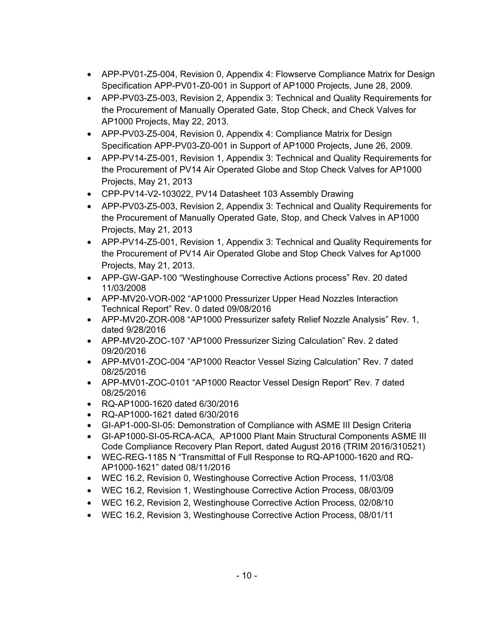- APP-PV01-Z5-004, Revision 0, Appendix 4: Flowserve Compliance Matrix for Design Specification APP-PV01-Z0-001 in Support of AP1000 Projects, June 28, 2009.
- APP-PV03-Z5-003, Revision 2, Appendix 3: Technical and Quality Requirements for the Procurement of Manually Operated Gate, Stop Check, and Check Valves for AP1000 Projects, May 22, 2013.
- APP-PV03-Z5-004, Revision 0, Appendix 4: Compliance Matrix for Design Specification APP-PV03-Z0-001 in Support of AP1000 Projects, June 26, 2009.
- APP-PV14-Z5-001, Revision 1, Appendix 3: Technical and Quality Requirements for the Procurement of PV14 Air Operated Globe and Stop Check Valves for AP1000 Projects, May 21, 2013
- CPP-PV14-V2-103022, PV14 Datasheet 103 Assembly Drawing
- APP-PV03-Z5-003, Revision 2, Appendix 3: Technical and Quality Requirements for the Procurement of Manually Operated Gate, Stop, and Check Valves in AP1000 Projects, May 21, 2013
- APP-PV14-Z5-001, Revision 1, Appendix 3: Technical and Quality Requirements for the Procurement of PV14 Air Operated Globe and Stop Check Valves for Ap1000 Projects, May 21, 2013.
- APP-GW-GAP-100 "Westinghouse Corrective Actions process" Rev. 20 dated 11/03/2008
- APP-MV20-VOR-002 "AP1000 Pressurizer Upper Head Nozzles Interaction Technical Report" Rev. 0 dated 09/08/2016
- APP-MV20-ZOR-008 "AP1000 Pressurizer safety Relief Nozzle Analysis" Rev. 1, dated 9/28/2016
- APP-MV20-ZOC-107 "AP1000 Pressurizer Sizing Calculation" Rev. 2 dated 09/20/2016
- APP-MV01-ZOC-004 "AP1000 Reactor Vessel Sizing Calculation" Rev. 7 dated 08/25/2016
- APP-MV01-ZOC-0101 "AP1000 Reactor Vessel Design Report" Rev. 7 dated 08/25/2016
- RQ-AP1000-1620 dated 6/30/2016
- RQ-AP1000-1621 dated 6/30/2016
- GI-AP1-000-SI-05: Demonstration of Compliance with ASME III Design Criteria
- GI-AP1000-SI-05-RCA-ACA, AP1000 Plant Main Structural Components ASME III Code Compliance Recovery Plan Report, dated August 2016 (TRIM 2016/310521)
- WEC-REG-1185 N "Transmittal of Full Response to RQ-AP1000-1620 and RQ-AP1000-1621" dated 08/11/2016
- WEC 16.2, Revision 0, Westinghouse Corrective Action Process, 11/03/08
- WEC 16.2, Revision 1, Westinghouse Corrective Action Process, 08/03/09
- WEC 16.2, Revision 2, Westinghouse Corrective Action Process, 02/08/10
- WEC 16.2, Revision 3, Westinghouse Corrective Action Process, 08/01/11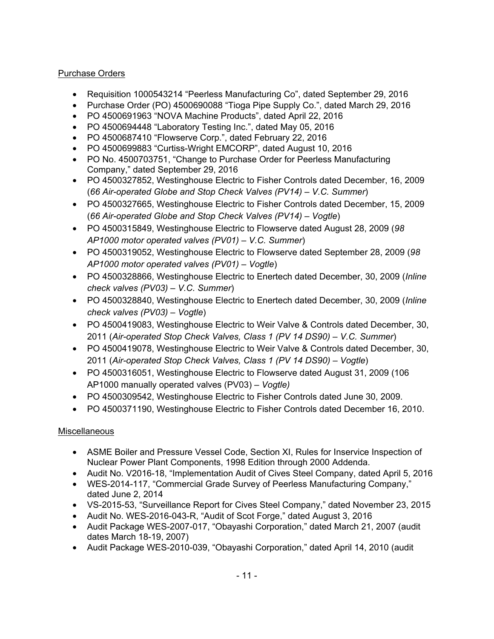# Purchase Orders

- Requisition 1000543214 "Peerless Manufacturing Co", dated September 29, 2016
- Purchase Order (PO) 4500690088 "Tioga Pipe Supply Co.", dated March 29, 2016
- PO 4500691963 "NOVA Machine Products", dated April 22, 2016
- PO 4500694448 "Laboratory Testing Inc.", dated May 05, 2016
- PO 4500687410 "Flowserve Corp.", dated February 22, 2016
- PO 4500699883 "Curtiss-Wright EMCORP", dated August 10, 2016
- PO No. 4500703751, "Change to Purchase Order for Peerless Manufacturing Company," dated September 29, 2016
- PO 4500327852, Westinghouse Electric to Fisher Controls dated December, 16, 2009 (*66 Air-operated Globe and Stop Check Valves (PV14) – V.C. Summer*)
- PO 4500327665, Westinghouse Electric to Fisher Controls dated December, 15, 2009 (*66 Air-operated Globe and Stop Check Valves (PV14) – Vogtle*)
- PO 4500315849, Westinghouse Electric to Flowserve dated August 28, 2009 (*98 AP1000 motor operated valves (PV01) – V.C. Summer*)
- PO 4500319052, Westinghouse Electric to Flowserve dated September 28, 2009 (*98 AP1000 motor operated valves (PV01) – Vogtle*)
- PO 4500328866, Westinghouse Electric to Enertech dated December, 30, 2009 (*Inline check valves (PV03) – V.C. Summer*)
- PO 4500328840, Westinghouse Electric to Enertech dated December, 30, 2009 (*Inline check valves (PV03) – Vogtle*)
- PO 4500419083, Westinghouse Electric to Weir Valve & Controls dated December, 30, 2011 (*Air-operated Stop Check Valves, Class 1 (PV 14 DS90) – V.C. Summer*)
- PO 4500419078, Westinghouse Electric to Weir Valve & Controls dated December, 30, 2011 (*Air-operated Stop Check Valves, Class 1 (PV 14 DS90) – Vogtle*)
- PO 4500316051, Westinghouse Electric to Flowserve dated August 31, 2009 (106 AP1000 manually operated valves (PV03) *– Vogtle)*
- PO 4500309542, Westinghouse Electric to Fisher Controls dated June 30, 2009.
- PO 4500371190, Westinghouse Electric to Fisher Controls dated December 16, 2010.

# Miscellaneous

- ASME Boiler and Pressure Vessel Code, Section XI, Rules for Inservice Inspection of Nuclear Power Plant Components, 1998 Edition through 2000 Addenda.
- Audit No. V2016-18, "Implementation Audit of Cives Steel Company, dated April 5, 2016
- WES-2014-117, "Commercial Grade Survey of Peerless Manufacturing Company," dated June 2, 2014
- VS-2015-53, "Surveillance Report for Cives Steel Company," dated November 23, 2015
- Audit No. WES-2016-043-R, "Audit of Scot Forge," dated August 3, 2016
- Audit Package WES-2007-017, "Obayashi Corporation," dated March 21, 2007 (audit dates March 18-19, 2007)
- Audit Package WES-2010-039, "Obayashi Corporation," dated April 14, 2010 (audit